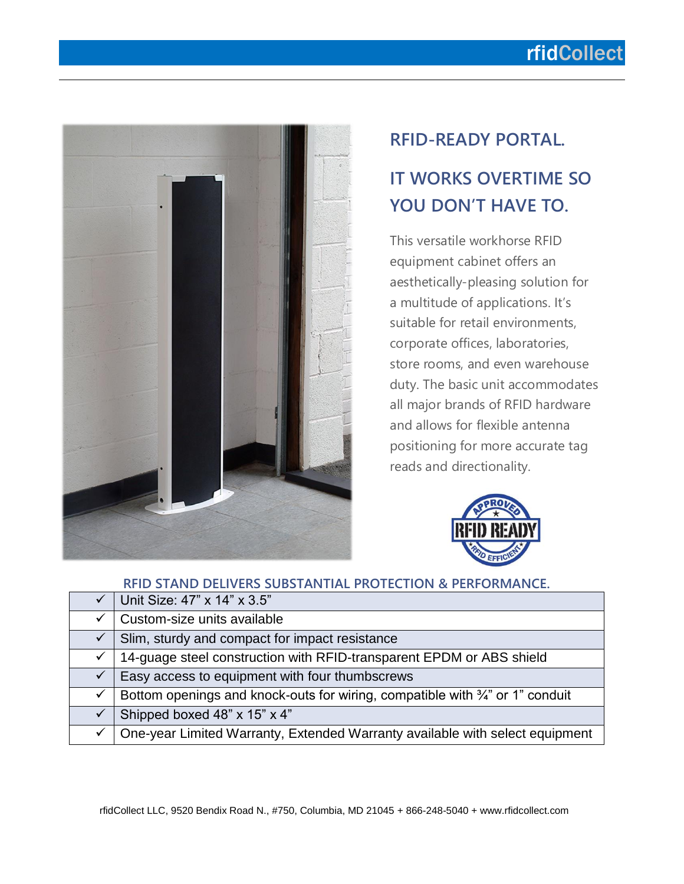## rfidCollect



# **RFID-READY PORTAL. IT WORKS OVERTIME SO YOU DON'T HAVE TO.**

This versatile workhorse RFID equipment cabinet offers an aesthetically-pleasing solution for a multitude of applications. It's suitable for retail environments, corporate offices, laboratories, store rooms, and even warehouse duty. The basic unit accommodates all major brands of RFID hardware and allows for flexible antenna positioning for more accurate tag reads and directionality.



|              | RFID STAND DELIVERS SUBSTANTIAL PROTECTION & PERFORMANCE.                     |
|--------------|-------------------------------------------------------------------------------|
|              | Unit Size: 47" x 14" x 3.5"                                                   |
| ✓            | Custom-size units available                                                   |
| $\checkmark$ | Slim, sturdy and compact for impact resistance                                |
| $\checkmark$ | 14-guage steel construction with RFID-transparent EPDM or ABS shield          |
| $\checkmark$ | Easy access to equipment with four thumbscrews                                |
| $\checkmark$ | Bottom openings and knock-outs for wiring, compatible with 3/4" or 1" conduit |
| $\checkmark$ | Shipped boxed 48" x 15" x 4"                                                  |
| ✓            | One-year Limited Warranty, Extended Warranty available with select equipment  |
|              |                                                                               |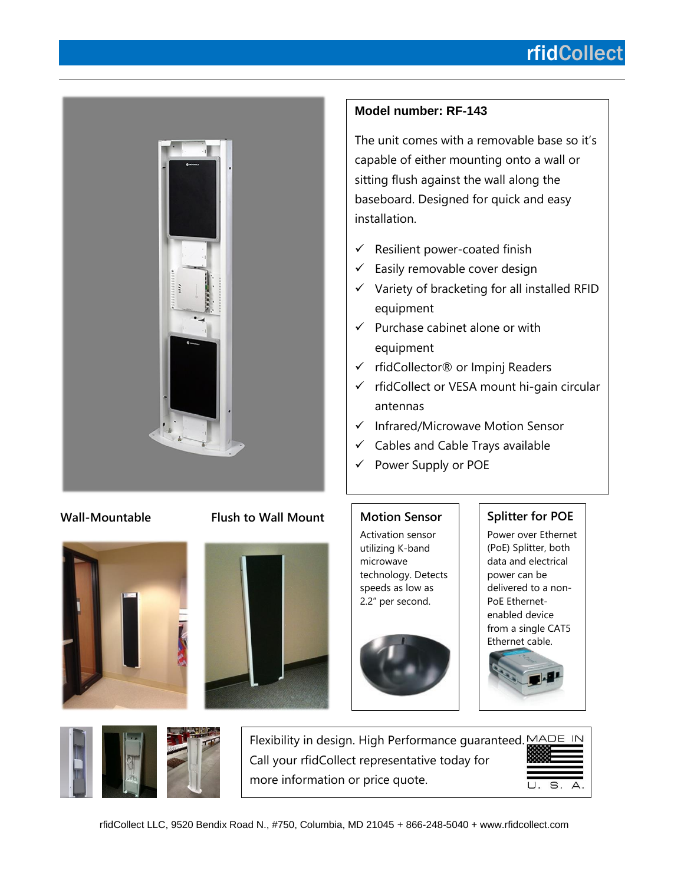## rfidCollect



### **Model number: RF-143**

The unit comes with a removable base so it's capable of either mounting onto a wall or sitting flush against the wall along the baseboard. Designed for quick and easy installation.

- $\checkmark$  Resilient power-coated finish
- $\checkmark$  Easily removable cover design
- $\checkmark$  Variety of bracketing for all installed RFID equipment
- $\checkmark$  Purchase cabinet alone or with equipment
- ✓ rfidCollector® or Impinj Readers
- $\checkmark$  rfidCollect or VESA mount hi-gain circular antennas
- ✓ Infrared/Microwave Motion Sensor
- $\checkmark$  Cables and Cable Trays available
- ✓ Power Supply or POE

### **Wall-Mountable Flush to Wall Mount**





### **Motion Sensor**

Activation sensor utilizing K-band microwave technology. Detects speeds as low as 2.2" per second.



## **Splitter for POE**

Power over Ethernet (PoE) Splitter, both data and electrical power can be delivered to a non-PoE Ethernetenabled device from a single CAT5 Ethernet cable.



 $\overline{N}$ 



| Flexibility in design. High Performance quaranteed. MADE IN |          |  |
|-------------------------------------------------------------|----------|--|
| Call your rfidCollect representative today for              |          |  |
| more information or price quote.                            | U. S. A. |  |